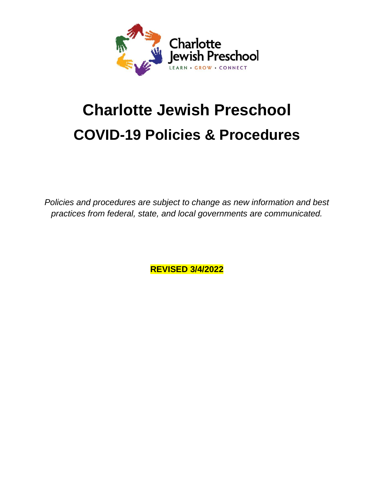

# **Charlotte Jewish Preschool COVID-19 Policies & Procedures**

*Policies and procedures are subject to change as new information and best practices from federal, state, and local governments are communicated.*

**REVISED 3/4/2022**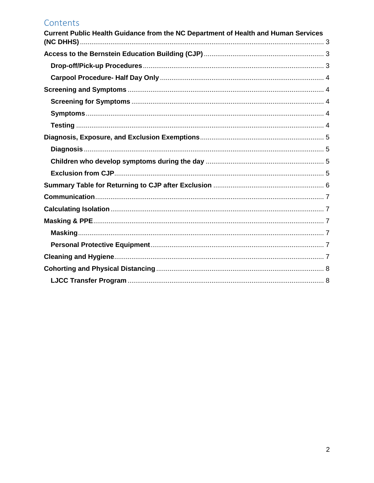# Contents

| Current Public Health Guidance from the NC Department of Health and Human Services |  |
|------------------------------------------------------------------------------------|--|
|                                                                                    |  |
|                                                                                    |  |
|                                                                                    |  |
|                                                                                    |  |
|                                                                                    |  |
|                                                                                    |  |
|                                                                                    |  |
|                                                                                    |  |
|                                                                                    |  |
|                                                                                    |  |
|                                                                                    |  |
|                                                                                    |  |
|                                                                                    |  |
|                                                                                    |  |
|                                                                                    |  |
|                                                                                    |  |
|                                                                                    |  |
|                                                                                    |  |
|                                                                                    |  |
|                                                                                    |  |
|                                                                                    |  |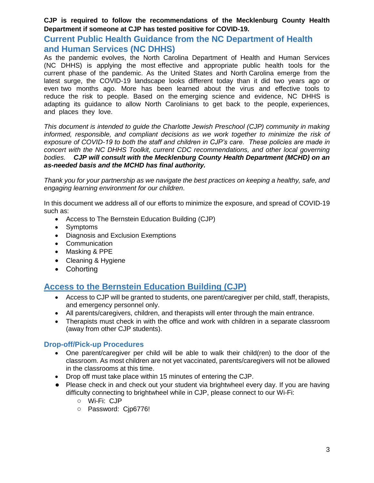#### **CJP is required to follow the recommendations of the Mecklenburg County Health Department if someone at CJP has tested positive for COVID-19.**

#### <span id="page-2-0"></span>**Current Public Health Guidance from the NC Department of Health and Human Services (NC DHHS)**

As the pandemic evolves, the North Carolina Department of Health and Human Services (NC DHHS) is applying the most effective and appropriate public health tools for the current phase of the pandemic. As the United States and North Carolina emerge from the latest surge, the COVID-19 landscape looks different today than it did two years ago or even two months ago. More has been learned about the virus and effective tools to reduce the risk to people. Based on the emerging science and evidence, NC DHHS is adapting its guidance to allow North Carolinians to get back to the people, experiences, and places they love.

*This document is intended to guide the Charlotte Jewish Preschool (CJP) community in making informed, responsible, and compliant decisions as we work together to minimize the risk of exposure of COVID-19 to both the staff and children in CJP's care. These policies are made in concert with the NC DHHS Toolkit, current CDC recommendations, and other local governing bodies. CJP will consult with the Mecklenburg County Health Department (MCHD) on an as-needed basis and the MCHD has final authority.* 

*Thank you for your partnership as we navigate the best practices on keeping a healthy, safe, and engaging learning environment for our children*.

In this document we address all of our efforts to minimize the exposure, and spread of COVID-19 such as:

- Access to The Bernstein Education Building (CJP)
- Symptoms
- Diagnosis and Exclusion Exemptions
- Communication
- Masking & PPE
- Cleaning & Hygiene
- Cohorting

# <span id="page-2-1"></span>**Access to the Bernstein Education Building (CJP)**

- Access to CJP will be granted to students, one parent/caregiver per child, staff, therapists, and emergency personnel only.
- All parents/caregivers, children, and therapists will enter through the main entrance.
- Therapists must check in with the office and work with children in a separate classroom (away from other CJP students).

#### <span id="page-2-2"></span>**Drop-off/Pick-up Procedures**

- One parent/caregiver per child will be able to walk their child(ren) to the door of the classroom. As most children are not yet vaccinated, parents/caregivers will not be allowed in the classrooms at this time.
- Drop off must take place within 15 minutes of entering the CJP.
- Please check in and check out your student via brightwheel every day. If you are having difficulty connecting to brightwheel while in CJP, please connect to our Wi-Fi:
	- Wi-Fi: CJP
	- Password: Cjp6776!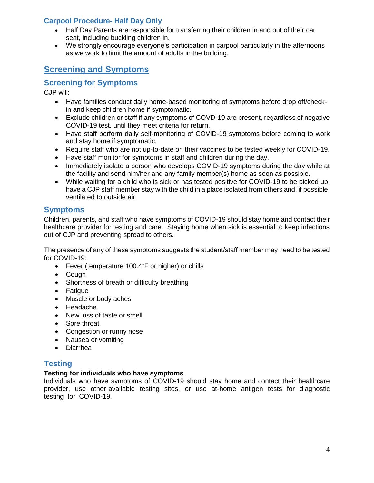#### <span id="page-3-0"></span>**Carpool Procedure- Half Day Only**

- Half Day Parents are responsible for transferring their children in and out of their car seat, including buckling children in.
- We strongly encourage everyone's participation in carpool particularly in the afternoons as we work to limit the amount of adults in the building.

# <span id="page-3-1"></span>**Screening and Symptoms**

# <span id="page-3-2"></span>**Screening for Symptoms**

CJP will:

- Have families conduct daily home-based monitoring of symptoms before drop off/checkin and keep children home if symptomatic.
- Exclude children or staff if any symptoms of COVD-19 are present, regardless of negative COVID-19 test, until they meet criteria for return.
- Have staff perform daily self-monitoring of COVID-19 symptoms before coming to work and stay home if symptomatic.
- Require staff who are not up-to-date on their vaccines to be tested weekly for COVID-19.
- Have staff monitor for symptoms in staff and children during the day.
- Immediately isolate a person who develops COVID-19 symptoms during the day while at the facility and send him/her and any family member(s) home as soon as possible.
- While waiting for a child who is sick or has tested positive for COVID-19 to be picked up, have a CJP staff member stay with the child in a place isolated from others and, if possible, ventilated to outside air.

## <span id="page-3-3"></span>**Symptoms**

Children, parents, and staff who have symptoms of COVID-19 should stay home and contact their healthcare provider for testing and care. Staying home when sick is essential to keep infections out of CJP and preventing spread to others.

The presence of any of these symptoms suggests the student/staff member may need to be tested for COVID-19:

- Fever (temperature  $100.4$  F or higher) or chills
- Cough
- Shortness of breath or difficulty breathing
- Fatigue
- Muscle or body aches
- Headache
- New loss of taste or smell
- Sore throat
- Congestion or runny nose
- Nausea or vomiting
- Diarrhea

## <span id="page-3-4"></span>**Testing**

#### **Testing for individuals who have symptoms**

Individuals who have symptoms of COVID-19 should stay home and contact their healthcare provider, use other available testing sites, or use at-home antigen tests for diagnostic testing for COVID-19.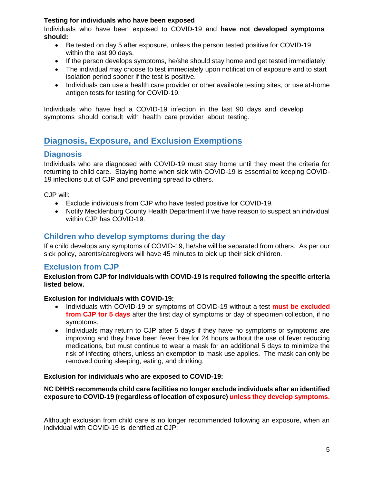#### **Testing for individuals who have been exposed**

Individuals who have been exposed to COVID-19 and **have not developed symptoms should:**

- Be tested on day 5 after exposure, unless the person tested positive for COVID-19 within the last 90 days.
- If the person develops symptoms, he/she should stay home and get tested immediately.
- The individual may choose to test immediately upon notification of exposure and to start isolation period sooner if the test is positive.
- Individuals can use a health care provider or other available testing sites, or use at-home antigen tests for testing for COVID-19.

Individuals who have had a COVID-19 infection in the last 90 days and develop symptoms should consult with health care provider about testing.

# <span id="page-4-0"></span>**Diagnosis, Exposure, and Exclusion Exemptions**

## <span id="page-4-1"></span>**Diagnosis**

Individuals who are diagnosed with COVID-19 must stay home until they meet the criteria for returning to child care. Staying home when sick with COVID-19 is essential to keeping COVID-19 infections out of CJP and preventing spread to others.

CJP will:

- Exclude individuals from CJP who have tested positive for COVID-19.
- Notify Mecklenburg County Health Department if we have reason to suspect an individual within CJP has COVID-19.

## <span id="page-4-2"></span>**Children who develop symptoms during the day**

If a child develops any symptoms of COVID-19, he/she will be separated from others. As per our sick policy, parents/caregivers will have 45 minutes to pick up their sick children.

#### <span id="page-4-3"></span>**Exclusion from CJP**

**Exclusion from CJP for individuals with COVID-19 is required following the specific criteria listed below.**

#### **Exclusion for individuals with COVID-19:**

- Individuals with COVID-19 or symptoms of COVID-19 without a test **must be excluded from CJP for 5 days** after the first day of symptoms or day of specimen collection, if no symptoms.
- Individuals may return to CJP after 5 days if they have no symptoms or symptoms are improving and they have been fever free for 24 hours without the use of fever reducing medications, but must continue to wear a mask for an additional 5 days to minimize the risk of infecting others, unless an exemption to mask use applies. The mask can only be removed during sleeping, eating, and drinking.

#### **Exclusion for individuals who are exposed to COVID-19:**

#### **NC DHHS recommends child care facilities no longer exclude individuals after an identified exposure to COVID-19 (regardless of location of exposure) unless they develop symptoms.**

Although exclusion from child care is no longer recommended following an exposure, when an individual with COVID-19 is identified at CJP: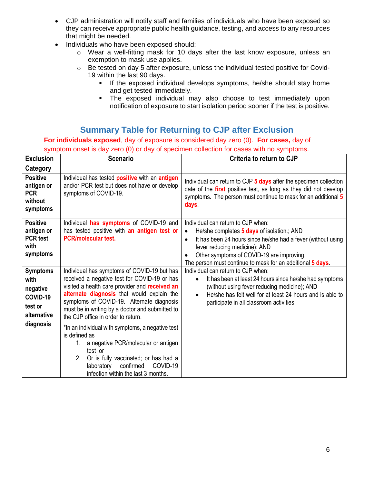- CJP administration will notify staff and families of individuals who have been exposed so they can receive appropriate public health guidance, testing, and access to any resources that might be needed.
- Individuals who have been exposed should:
	- o Wear a well-fitting mask for 10 days after the last know exposure, unless an exemption to mask use applies.
	- o Be tested on day 5 after exposure, unless the individual tested positive for Covid-19 within the last 90 days.
		- If the exposed individual develops symptoms, he/she should stay home and get tested immediately.
		- The exposed individual may also choose to test immediately upon notification of exposure to start isolation period sooner if the test is positive.

# **Summary Table for Returning to CJP after Exclusion**

<span id="page-5-0"></span>**For individuals exposed**, day of exposure is considered day zero (0). **For cases,** day of

| <b>Exclusion</b>                                                          | <b>Scenario</b>                                                                                                                                                                                                                                                                                                                   | Criteria to return to CJP                                                                                                                                                                                                                                                                                                           |
|---------------------------------------------------------------------------|-----------------------------------------------------------------------------------------------------------------------------------------------------------------------------------------------------------------------------------------------------------------------------------------------------------------------------------|-------------------------------------------------------------------------------------------------------------------------------------------------------------------------------------------------------------------------------------------------------------------------------------------------------------------------------------|
| Category                                                                  |                                                                                                                                                                                                                                                                                                                                   |                                                                                                                                                                                                                                                                                                                                     |
| <b>Positive</b><br>antigen or<br><b>PCR</b><br>without<br>symptoms        | Individual has tested positive with an antigen<br>and/or PCR test but does not have or develop<br>symptoms of COVID-19.                                                                                                                                                                                                           | Individual can return to CJP 5 days after the specimen collection<br>date of the first positive test, as long as they did not develop<br>symptoms. The person must continue to mask for an additional 5<br><b>days</b>                                                                                                              |
| <b>Positive</b><br>antigen or<br><b>PCR</b> test<br>with<br>symptoms      | Individual has symptoms of COVID-19 and<br>has tested positive with an antigen test or<br><b>PCR/molecular test.</b>                                                                                                                                                                                                              | Individual can return to CJP when:<br>He/she completes 5 days of isolation.; AND<br>$\bullet$<br>It has been 24 hours since he/she had a fever (without using<br>$\bullet$<br>fever reducing medicine): AND<br>Other symptoms of COVID-19 are improving.<br>$\bullet$<br>The person must continue to mask for an additional 5 days. |
| <b>Symptoms</b><br>with<br>negative<br>COVID-19<br>test or<br>alternative | Individual has symptoms of COVID-19 but has<br>received a negative test for COVID-19 or has<br>visited a health care provider and received an<br>alternate diagnosis that would explain the<br>symptoms of COVID-19. Alternate diagnosis<br>must be in writing by a doctor and submitted to<br>the CJP office in order to return. | Individual can return to CJP when:<br>It has been at least 24 hours since he/she had symptoms<br>$\bullet$<br>(without using fever reducing medicine); AND<br>He/she has felt well for at least 24 hours and is able to<br>$\bullet$<br>participate in all classroom activities.                                                    |
| diagnosis                                                                 | *In an individual with symptoms, a negative test<br>is defined as<br>1. a negative PCR/molecular or antigen<br>test or<br>Or is fully vaccinated; or has had a<br>2.<br>COVID-19<br>confirmed<br>laboratory<br>infection within the last 3 months.                                                                                |                                                                                                                                                                                                                                                                                                                                     |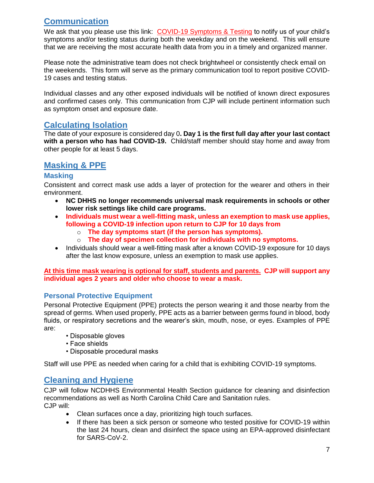# <span id="page-6-0"></span>**Communication**

We ask that you please use this link: [COVID-19 Symptoms & Testing](https://docs.google.com/forms/d/e/1FAIpQLSdYy-MInm66Y-fRGThnePe7xzUjTEqoRFvvg7YTFdDSbqOGGw/viewform?usp=sf_link) to notify us of your child's symptoms and/or testing status during both the weekday and on the weekend. This will ensure that we are receiving the most accurate health data from you in a timely and organized manner.

Please note the administrative team does not check brightwheel or consistently check email on the weekends. This form will serve as the primary communication tool to report positive COVID-19 cases and testing status.

Individual classes and any other exposed individuals will be notified of known direct exposures and confirmed cases only. This communication from CJP will include pertinent information such as symptom onset and exposure date.

## <span id="page-6-1"></span>**Calculating Isolation**

The date of your exposure is considered day 0**. Day 1 is the first full day after your last contact with a person who has had COVID-19.** Child/staff member should stay home and away from other people for at least 5 days.

# <span id="page-6-2"></span>**Masking & PPE**

#### <span id="page-6-3"></span>**Masking**

Consistent and correct mask use adds a layer of protection for the wearer and others in their environment.

- **NC DHHS no longer recommends universal mask requirements in schools or other lower risk settings like child care programs.**
- **Individuals must wear a well-fitting mask, unless an exemption to mask use applies, following a COVID-19 infection upon return to CJP for 10 days from**
	- o **The day symptoms start (if the person has symptoms).**
	- o **The day of specimen collection for individuals with no symptoms.**
- Individuals should wear a well-fitting mask after a known COVID-19 exposure for 10 days after the last know exposure, unless an exemption to mask use applies.

**At this time mask wearing is optional for staff, students and parents. CJP will support any individual ages 2 years and older who choose to wear a mask.**

#### <span id="page-6-4"></span>**Personal Protective Equipment**

Personal Protective Equipment (PPE) protects the person wearing it and those nearby from the spread of germs. When used properly, PPE acts as a barrier between germs found in blood, body fluids, or respiratory secretions and the wearer's skin, mouth, nose, or eyes. Examples of PPE are:

- Disposable gloves
- Face shields
- Disposable procedural masks

Staff will use PPE as needed when caring for a child that is exhibiting COVID-19 symptoms.

## <span id="page-6-5"></span>**Cleaning and Hygiene**

CJP will follow NCDHHS Environmental Health Section guidance for cleaning and disinfection recommendations as well as North Carolina Child Care and Sanitation rules. CJP will:

- Clean surfaces once a day, prioritizing high touch surfaces.
- If there has been a sick person or someone who tested positive for COVID-19 within the last 24 hours, clean and disinfect the space using an EPA-approved disinfectant for SARS-CoV-2.